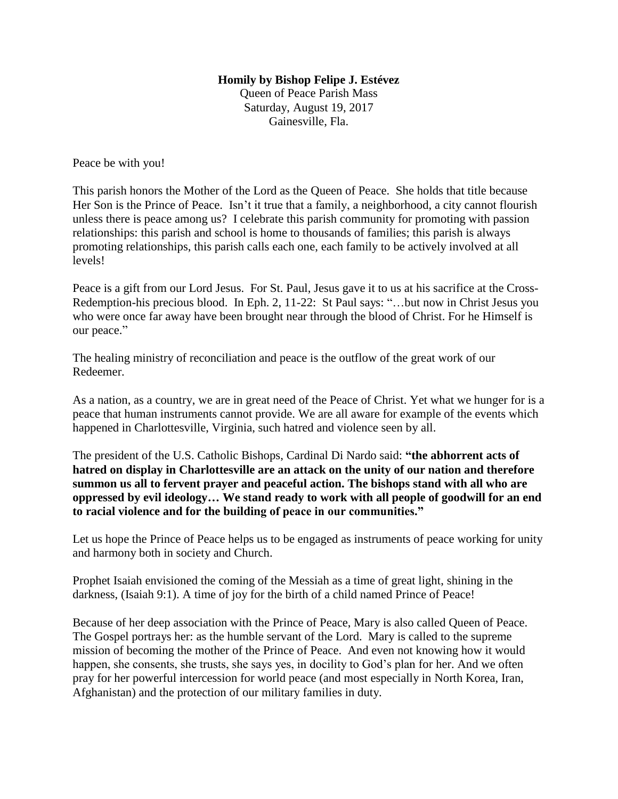## **Homily by Bishop Felipe J. Estévez**

Queen of Peace Parish Mass Saturday, August 19, 2017 Gainesville, Fla.

Peace be with you!

This parish honors the Mother of the Lord as the Queen of Peace. She holds that title because Her Son is the Prince of Peace. Isn't it true that a family, a neighborhood, a city cannot flourish unless there is peace among us? I celebrate this parish community for promoting with passion relationships: this parish and school is home to thousands of families; this parish is always promoting relationships, this parish calls each one, each family to be actively involved at all levels!

Peace is a gift from our Lord Jesus. For St. Paul, Jesus gave it to us at his sacrifice at the Cross-Redemption-his precious blood. In Eph. 2, 11-22: St Paul says: "…but now in Christ Jesus you who were once far away have been brought near through the blood of Christ. For he Himself is our peace."

The healing ministry of reconciliation and peace is the outflow of the great work of our Redeemer.

As a nation, as a country, we are in great need of the Peace of Christ. Yet what we hunger for is a peace that human instruments cannot provide. We are all aware for example of the events which happened in Charlottesville, Virginia, such hatred and violence seen by all.

The president of the U.S. Catholic Bishops, Cardinal Di Nardo said: **"the abhorrent acts of hatred on display in Charlottesville are an attack on the unity of our nation and therefore summon us all to fervent prayer and peaceful action. The bishops stand with all who are oppressed by evil ideology… We stand ready to work with all people of goodwill for an end to racial violence and for the building of peace in our communities."** 

Let us hope the Prince of Peace helps us to be engaged as instruments of peace working for unity and harmony both in society and Church.

Prophet Isaiah envisioned the coming of the Messiah as a time of great light, shining in the darkness, (Isaiah 9:1). A time of joy for the birth of a child named Prince of Peace!

Because of her deep association with the Prince of Peace, Mary is also called Queen of Peace. The Gospel portrays her: as the humble servant of the Lord. Mary is called to the supreme mission of becoming the mother of the Prince of Peace. And even not knowing how it would happen, she consents, she trusts, she says yes, in docility to God's plan for her. And we often pray for her powerful intercession for world peace (and most especially in North Korea, Iran, Afghanistan) and the protection of our military families in duty.